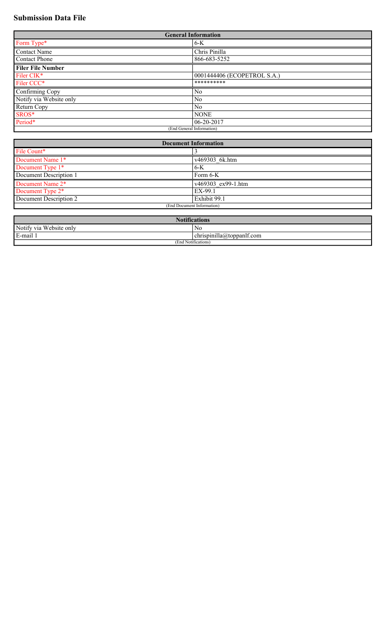# **Submission Data File**

| <b>General Information</b> |                             |  |
|----------------------------|-----------------------------|--|
| Form Type*                 | $6 - K$                     |  |
| Contact Name               | Chris Pinilla               |  |
| Contact Phone              | 866-683-5252                |  |
| <b>Filer File Number</b>   |                             |  |
| Filer CIK*                 | 0001444406 (ECOPETROL S.A.) |  |
| Filer CCC*                 | **********                  |  |
| Confirming Copy            | No                          |  |
| Notify via Website only    | No                          |  |
| Return Copy                | N <sub>0</sub>              |  |
| SROS*                      | <b>NONE</b>                 |  |
| Period*                    | 06-20-2017                  |  |
| (End General Information)  |                             |  |

| <b>Document Information</b> |                    |  |
|-----------------------------|--------------------|--|
| File Count*                 |                    |  |
| Document Name 1*            | v469303 6k.htm     |  |
| Document Type 1*            | 6-K                |  |
| Document Description 1      | Form $6-K$         |  |
| Document Name 2*            | v469303 ex99-1.htm |  |
| Document Type 2*            | EX-99.1            |  |
| Document Description 2      | Exhibit 99.1       |  |
| (End Document Information)  |                    |  |

| <b>Notifications</b>                 |                                               |  |
|--------------------------------------|-----------------------------------------------|--|
| Notify via Website only              | No                                            |  |
| .<br>E.<br>E-mail 1                  | $\epsilon$ chrispinilla $\omega$ toppanit.com |  |
| $\cdots$<br>(End<br>1 Notifications. |                                               |  |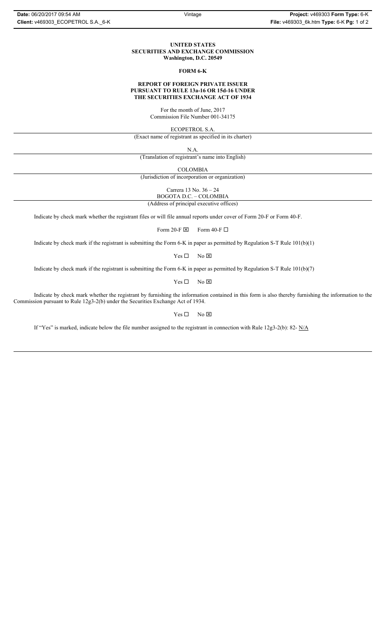# **UNITED STATES SECURITIES AND EXCHANGE COMMISSION Washington, D.C. 20549**

#### **FORM 6-K**

## **REPORT OF FOREIGN PRIVATE ISSUER PURSUANT TO RULE 13a-16 OR 15d-16 UNDER THE SECURITIES EXCHANGE ACT OF 1934**

For the month of June, 2017 Commission File Number 001-34175

ECOPETROL S.A.

(Exact name of registrant as specified in its charter)

N.A.

(Translation of registrant's name into English)

COLOMBIA

(Jurisdiction of incorporation or organization)

Carrera 13 No. 36 – 24

BOGOTA D.C. – COLOMBIA

(Address of principal executive offices)

Indicate by check mark whether the registrant files or will file annual reports under cover of Form 20-F or Form 40-F.

Form 20-F  $\boxtimes$  Form 40-F  $\Box$ 

Indicate by check mark if the registrant is submitting the Form 6-K in paper as permitted by Regulation S-T Rule 101(b)(1)

 $Yes \Box$  No  $\boxtimes$ 

Indicate by check mark if the registrant is submitting the Form 6-K in paper as permitted by Regulation S-T Rule 101(b)(7)

 $Yes \Box$  No  $\boxtimes$ 

Indicate by check mark whether the registrant by furnishing the information contained in this form is also thereby furnishing the information to the Commission pursuant to Rule 12g3-2(b) under the Securities Exchange Act of 1934.

 $Yes \Box$  No  $\boxtimes$ 

If "Yes" is marked, indicate below the file number assigned to the registrant in connection with Rule 12g3-2(b): 82- N/A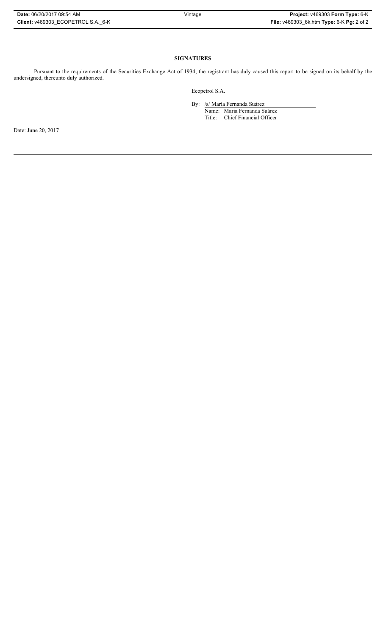| Date: 06/20/2017 09:54 AM          | Vintage | Project: v469303 Form Type: 6-K           |
|------------------------------------|---------|-------------------------------------------|
| Client: v469303 ECOPETROL S.A. 6-K |         | File: v469303 6k.htm Type: 6-K Pg: 2 of 2 |

# **SIGNATURES**

Pursuant to the requirements of the Securities Exchange Act of 1934, the registrant has duly caused this report to be signed on its behalf by the undersigned, thereunto duly authorized.

Ecopetrol S.A.

By: /s/ María Fernanda Suárez

Name: María Fernanda Suárez Title: Chief Financial Officer

Date: June 20, 2017